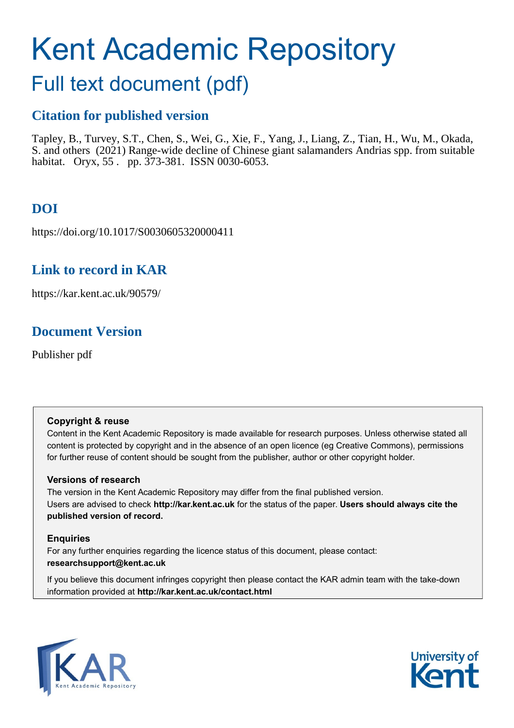# Kent Academic Repository

## Full text document (pdf)

### **Citation for published version**

Tapley, B., Turvey, S.T., Chen, S., Wei, G., Xie, F., Yang, J., Liang, Z., Tian, H., Wu, M., Okada, S. and others (2021) Range-wide decline of Chinese giant salamanders Andrias spp. from suitable habitat. Oryx, 55 . pp. 373-381. ISSN 0030-6053.

## **DOI**

https://doi.org/10.1017/S0030605320000411

## **Link to record in KAR**

https://kar.kent.ac.uk/90579/

## **Document Version**

Publisher pdf

#### **Copyright & reuse**

Content in the Kent Academic Repository is made available for research purposes. Unless otherwise stated all content is protected by copyright and in the absence of an open licence (eg Creative Commons), permissions for further reuse of content should be sought from the publisher, author or other copyright holder.

#### **Versions of research**

The version in the Kent Academic Repository may differ from the final published version. Users are advised to check **http://kar.kent.ac.uk** for the status of the paper. **Users should always cite the published version of record.**

#### **Enquiries**

For any further enquiries regarding the licence status of this document, please contact: **researchsupport@kent.ac.uk**

If you believe this document infringes copyright then please contact the KAR admin team with the take-down information provided at **http://kar.kent.ac.uk/contact.html**



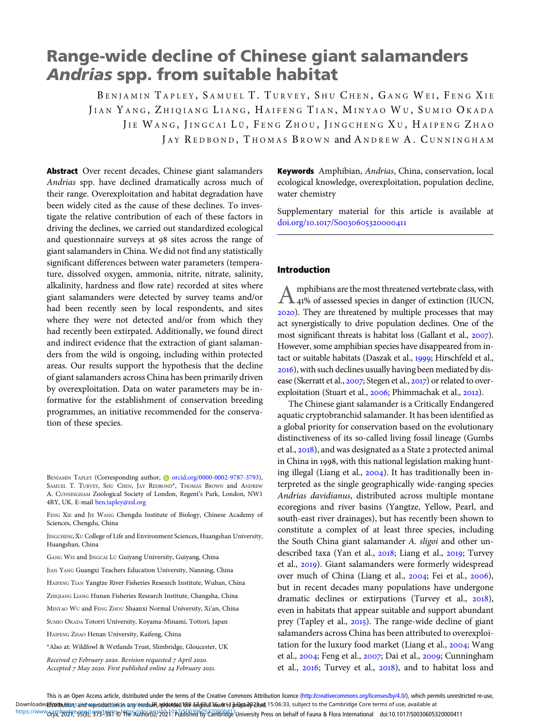## Range-wide decline of Chinese giant salamanders Andrias spp. from suitable habitat

BENIAMIN TAPLEY, SAMUEL T. TURVEY, SHU CHEN, GANG WEI, FENG XIE JIAN YANG, ZHIQIANG LIANG, HAIFENG TIAN, MINYAO WU, SUMIO OKADA JIE WANG, JINGCAI LÜ, FENG ZHOU, JINGCHENG XU, HAIPENG ZHAO JAY REDBOND, THOMAS BROWN and ANDREW A. CUNNINGHAM

Abstract Over recent decades, Chinese giant salamanders Andrias spp. have declined dramatically across much of their range. Overexploitation and habitat degradation have been widely cited as the cause of these declines. To investigate the relative contribution of each of these factors in driving the declines, we carried out standardized ecological and questionnaire surveys at 98 sites across the range of giant salamanders in China. We did not find any statistically significant differences between water parameters (temperature, dissolved oxygen, ammonia, nitrite, nitrate, salinity, alkalinity, hardness and flow rate) recorded at sites where giant salamanders were detected by survey teams and/or had been recently seen by local respondents, and sites where they were not detected and/or from which they had recently been extirpated. Additionally, we found direct and indirect evidence that the extraction of giant salamanders from the wild is ongoing, including within protected areas. Our results support the hypothesis that the decline of giant salamanders across China has been primarily driven by overexploitation. Data on water parameters may be informative for the establishment of conservation breeding programmes, an initiative recommended for the conservation of these species.

FENG XIE and JIE WANG Chengdu Institute of Biology, Chinese Academy of Sciences, Chengdu, China

JINGCHENG XU College of Life and Environment Sciences, Huangshan University, Huangshan, China

GANG WEI and JINGCAI LÜ Guiyang University, Guiyang, China

JIAN YANG Guangxi Teachers Education University, Nanning, China

HAIFENG TIAN Yangtze River Fisheries Research Institute, Wuhan, China

ZHIQIANG LIANG Hunan Fisheries Research Institute, Changsha, China

MINYAO WU and FENG ZHOU Shaanxi Normal University, Xi'an, China

SUMIO OKADA Totorri University, Koyama-Minami, Tottori, Japan

HAIPENG ZHAO Henan University, Kaifeng, China

Received 17 February 2020. Revision requested 7 April 2020. Accepted 7 May 2020. First published online 24 February 2021. Keywords Amphibian, Andrias, China, conservation, local ecological knowledge, overexploitation, population decline, water chemistry

Supplementary material for this article is available at doi.org/10.1017/S0030605320000411

#### Introduction

Amphibians are the most threatened vertebrate class, with<br>
41% of assessed species in danger of extinction (IUCN, ). They are threatened by multiple processes that may act synergistically to drive population declines. One of the most significant threats is habitat loss (Gallant et al., 2007). However, some amphibian species have disappeared from intact or suitable habitats (Daszak et al., 1999; Hirschfeld et al., ), with such declines usually having been mediated by disease (Skerratt et al., 2007; Stegen et al., 2017) or related to overexploitation (Stuart et al., 2006; Phimmachak et al., 2012).

The Chinese giant salamander is a Critically Endangered aquatic cryptobranchid salamander. It has been identified as a global priority for conservation based on the evolutionary distinctiveness of its so-called living fossil lineage (Gumbs et al., 2018), and was designated as a State 2 protected animal in China in 1998, with this national legislation making hunting illegal (Liang et al.,  $2004$ ). It has traditionally been interpreted as the single geographically wide-ranging species Andrias davidianus, distributed across multiple montane ecoregions and river basins (Yangtze, Yellow, Pearl, and south-east river drainages), but has recently been shown to constitute a complex of at least three species, including the South China giant salamander A. sligoi and other undescribed taxa (Yan et al., 2018; Liang et al., 2019; Turvey et al., 2019). Giant salamanders were formerly widespread over much of China (Liang et al., 2004; Fei et al., 2006), but in recent decades many populations have undergone dramatic declines or extirpations (Turvey et al.,  $2018$ ), even in habitats that appear suitable and support abundant prey (Tapley et al., 2015). The range-wide decline of giant salamanders across China has been attributed to overexploitation for the luxury food market (Liang et al.,  $2004$ ; Wang et al., 2004; Feng et al., 2007; Dai et al., 2009; Cunningham et al.,  $2016$ ; Turvey et al.,  $2018$ ), and to habitat loss and

This is an Open Access article, distributed under the terms of the Creative Commons Attribution licence (<http://creativecommons.org/licenses/by/4.0/>), which permits unrestricted re-use, Downloaded**hstributio**nsand veproductiongn any/mediu**hi,addvtsed the ዕብghai 36ork**nd **properly 2net** 15:06:33, subject to the Cambridge Core terms of use, available at https://www6px\brothest9f9f958f8fy9f9498fl9fb458fl9fdft0fe9f9f26210p76ffRBad6byFe2fHBfldge1University Press on behalf of Fauna & Flora International doi:10.1017/S0030605320000411

BENJAMIN TAPLEY (Corresponding author, [orcid.org/0000-0002-9787-3793\)](https://orcid.org/0000-0002-9787-3793), SAMUEL T. TURVEY, SHU CHEN, JAY REDBOND\*, THOMAS BROWN and ANDREW A. CUNNINGHAM Zoological Society of London, Regent's Park, London, NW1 4RY, UK. E-mail [ben.tapley@zsl.org](mailto:ben.tapley@zsl.org)

<sup>\*</sup>Also at: Wildfowl & Wetlands Trust, Slimbridge, Gloucester, UK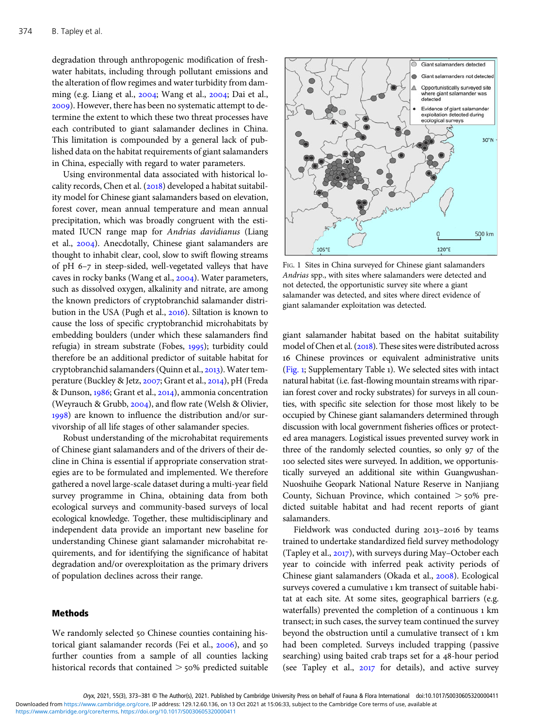degradation through anthropogenic modification of freshwater habitats, including through pollutant emissions and the alteration of flow regimes and water turbidity from damming (e.g. Liang et al.,  $2004$ ; Wang et al.,  $2004$ ; Dai et al., ). However, there has been no systematic attempt to determine the extent to which these two threat processes have each contributed to giant salamander declines in China. This limitation is compounded by a general lack of published data on the habitat requirements of giant salamanders in China, especially with regard to water parameters.

Using environmental data associated with historical locality records, Chen et al.  $(2018)$  developed a habitat suitability model for Chinese giant salamanders based on elevation, forest cover, mean annual temperature and mean annual precipitation, which was broadly congruent with the estimated IUCN range map for Andrias davidianus (Liang et al., 2004). Anecdotally, Chinese giant salamanders are thought to inhabit clear, cool, slow to swift flowing streams of pH  $6-7$  in steep-sided, well-vegetated valleys that have caves in rocky banks (Wang et al., 2004). Water parameters, such as dissolved oxygen, alkalinity and nitrate, are among the known predictors of cryptobranchid salamander distribution in the USA (Pugh et al., 2016). Siltation is known to cause the loss of specific cryptobranchid microhabitats by embedding boulders (under which these salamanders find refugia) in stream substrate (Fobes, 1995); turbidity could therefore be an additional predictor of suitable habitat for cryptobranchid salamanders (Quinn et al., 2013). Water temperature (Buckley & Jetz, 2007; Grant et al., 2014), pH (Freda & Dunson, 1986; Grant et al., 2014), ammonia concentration (Weyrauch & Grubb,  $2004$ ), and flow rate (Welsh & Olivier, ) are known to influence the distribution and/or survivorship of all life stages of other salamander species.

Robust understanding of the microhabitat requirements of Chinese giant salamanders and of the drivers of their decline in China is essential if appropriate conservation strategies are to be formulated and implemented. We therefore gathered a novel large-scale dataset during a multi-year field survey programme in China, obtaining data from both ecological surveys and community-based surveys of local ecological knowledge. Together, these multidisciplinary and independent data provide an important new baseline for understanding Chinese giant salamander microhabitat requirements, and for identifying the significance of habitat degradation and/or overexploitation as the primary drivers of population declines across their range.

#### Methods

We randomly selected 50 Chinese counties containing historical giant salamander records (Fei et al., 2006), and 50 further counties from a sample of all counties lacking historical records that contained  $>$  50% predicted suitable



FIG. 1 Sites in China surveyed for Chinese giant salamanders Andrias spp., with sites where salamanders were detected and not detected, the opportunistic survey site where a giant salamander was detected, and sites where direct evidence of giant salamander exploitation was detected.

giant salamander habitat based on the habitat suitability model of Chen et al. (2018). These sites were distributed across Chinese provinces or equivalent administrative units (Fig. ; Supplementary Table ). We selected sites with intact natural habitat (i.e. fast-flowing mountain streams with riparian forest cover and rocky substrates) for surveys in all counties, with specific site selection for those most likely to be occupied by Chinese giant salamanders determined through discussion with local government fisheries offices or protected area managers. Logistical issues prevented survey work in three of the randomly selected counties, so only 97 of the 100 selected sites were surveyed. In addition, we opportunistically surveyed an additional site within Guangwushan-Nuoshuihe Geopark National Nature Reserve in Nanjiang County, Sichuan Province, which contained  $>$  50% predicted suitable habitat and had recent reports of giant salamanders.

Fieldwork was conducted during 2013-2016 by teams trained to undertake standardized field survey methodology (Tapley et al.,  $2017$ ), with surveys during May–October each year to coincide with inferred peak activity periods of Chinese giant salamanders (Okada et al., 2008). Ecological surveys covered a cumulative 1 km transect of suitable habitat at each site. At some sites, geographical barriers (e.g. waterfalls) prevented the completion of a continuous 1 km transect; in such cases, the survey team continued the survey beyond the obstruction until a cumulative transect of 1 km had been completed. Surveys included trapping (passive searching) using baited crab traps set for a 48-hour period (see Tapley et al.,  $2017$  for details), and active survey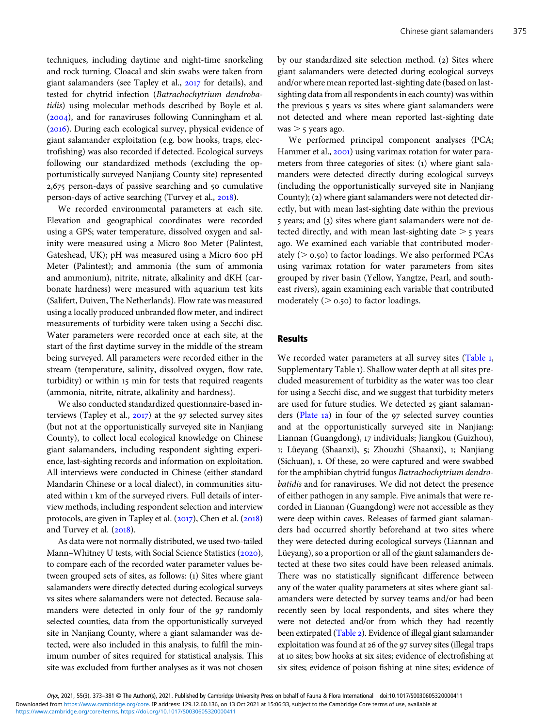techniques, including daytime and night-time snorkeling and rock turning. Cloacal and skin swabs were taken from giant salamanders (see Tapley et al., 2017 for details), and tested for chytrid infection (Batrachochytrium dendrobatidis) using molecular methods described by Boyle et al.  $(2004)$ , and for ranaviruses following Cunningham et al. (2016). During each ecological survey, physical evidence of giant salamander exploitation (e.g. bow hooks, traps, electrofishing) was also recorded if detected. Ecological surveys following our standardized methods (excluding the opportunistically surveyed Nanjiang County site) represented 2,675 person-days of passive searching and 50 cumulative person-days of active searching (Turvey et al., 2018).

We recorded environmental parameters at each site. Elevation and geographical coordinates were recorded using a GPS; water temperature, dissolved oxygen and salinity were measured using a Micro 800 Meter (Palintest, Gateshead, UK); pH was measured using a Micro 600 pH Meter (Palintest); and ammonia (the sum of ammonia and ammonium), nitrite, nitrate, alkalinity and dKH (carbonate hardness) were measured with aquarium test kits (Salifert, Duiven, The Netherlands). Flow rate was measured using a locally produced unbranded flow meter, and indirect measurements of turbidity were taken using a Secchi disc. Water parameters were recorded once at each site, at the start of the first daytime survey in the middle of the stream being surveyed. All parameters were recorded either in the stream (temperature, salinity, dissolved oxygen, flow rate, turbidity) or within 15 min for tests that required reagents (ammonia, nitrite, nitrate, alkalinity and hardness).

We also conducted standardized questionnaire-based interviews (Tapley et al.,  $2017$ ) at the 97 selected survey sites (but not at the opportunistically surveyed site in Nanjiang County), to collect local ecological knowledge on Chinese giant salamanders, including respondent sighting experience, last-sighting records and information on exploitation. All interviews were conducted in Chinese (either standard Mandarin Chinese or a local dialect), in communities situated within 1 km of the surveyed rivers. Full details of interview methods, including respondent selection and interview protocols, are given in Tapley et al.  $(2017)$ , Chen et al.  $(2018)$ and Turvey et al.  $(2018)$ .

As data were not normally distributed, we used two-tailed Mann–Whitney U tests, with Social Science Statistics (2020), to compare each of the recorded water parameter values between grouped sets of sites, as follows: (1) Sites where giant salamanders were directly detected during ecological surveys vs sites where salamanders were not detected. Because salamanders were detected in only four of the 97 randomly selected counties, data from the opportunistically surveyed site in Nanjiang County, where a giant salamander was detected, were also included in this analysis, to fulfil the minimum number of sites required for statistical analysis. This site was excluded from further analyses as it was not chosen by our standardized site selection method. (2) Sites where giant salamanders were detected during ecological surveys and/or where mean reported last-sighting date (based on lastsighting data from all respondents in each county) was within the previous 5 years vs sites where giant salamanders were not detected and where mean reported last-sighting date  $was > 5$  years ago.

We performed principal component analyses (PCA; Hammer et al., 2001) using varimax rotation for water parameters from three categories of sites: (1) where giant salamanders were detected directly during ecological surveys (including the opportunistically surveyed site in Nanjiang County); (2) where giant salamanders were not detected directly, but with mean last-sighting date within the previous 5 years; and (3) sites where giant salamanders were not detected directly, and with mean last-sighting date  $>$  5 years ago. We examined each variable that contributed moderately ( $> 0.50$ ) to factor loadings. We also performed PCAs using varimax rotation for water parameters from sites grouped by river basin (Yellow, Yangtze, Pearl, and southeast rivers), again examining each variable that contributed moderately ( $> 0.50$ ) to factor loadings.

#### Results

We recorded water parameters at all survey sites (Table 1, Supplementary Table ). Shallow water depth at all sites precluded measurement of turbidity as the water was too clear for using a Secchi disc, and we suggest that turbidity meters are used for future studies. We detected 25 giant salamanders (Plate 1a) in four of the 97 selected survey counties and at the opportunistically surveyed site in Nanjiang: Liannan (Guangdong), 17 individuals; Jiangkou (Guizhou), 1; Lüeyang (Shaanxi), 5; Zhouzhi (Shaanxi), 1; Nanjiang (Sichuan), 1. Of these, 20 were captured and were swabbed for the amphibian chytrid fungus Batrachochytrium dendrobatidis and for ranaviruses. We did not detect the presence of either pathogen in any sample. Five animals that were recorded in Liannan (Guangdong) were not accessible as they were deep within caves. Releases of farmed giant salamanders had occurred shortly beforehand at two sites where they were detected during ecological surveys (Liannan and Lüeyang), so a proportion or all of the giant salamanders detected at these two sites could have been released animals. There was no statistically significant difference between any of the water quality parameters at sites where giant salamanders were detected by survey teams and/or had been recently seen by local respondents, and sites where they were not detected and/or from which they had recently been extirpated (Table 2). Evidence of illegal giant salamander exploitation was found at 26 of the 97 survey sites (illegal traps at 10 sites; bow hooks at six sites; evidence of electrofishing at six sites; evidence of poison fishing at nine sites; evidence of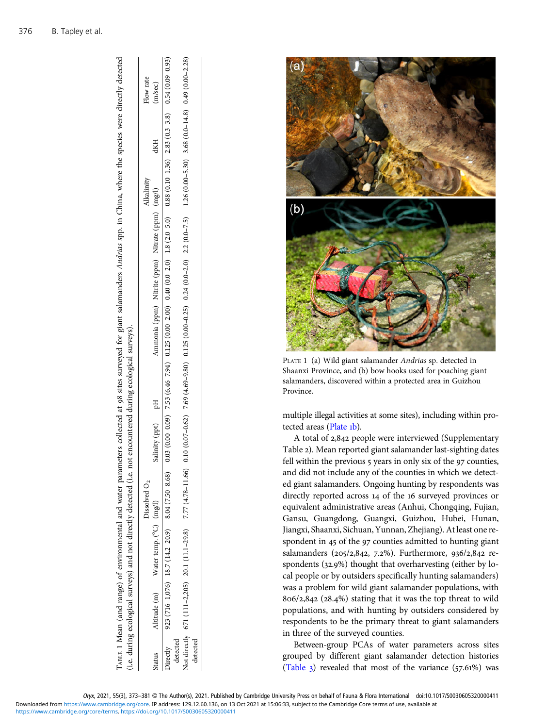|          | (i.e. during ecological surveys) and not directly detected (i.e. |                 | not encountered during ecological surveys). |                                                                                                                                                                                                                        |  |           |            |           |
|----------|------------------------------------------------------------------|-----------------|---------------------------------------------|------------------------------------------------------------------------------------------------------------------------------------------------------------------------------------------------------------------------|--|-----------|------------|-----------|
|          |                                                                  | Dissolved $O_2$ |                                             |                                                                                                                                                                                                                        |  | lkalinity |            | Flow rate |
| tatus    | Altitude (m) Water temp. (°C) (mg/l)                             |                 | Salinity (ppt) pH                           | Ammonia (ppm) Nitrite (ppm) Nitrate (ppm) (mg/l)                                                                                                                                                                       |  |           | <b>dKH</b> | (m/sec)   |
|          | Directly 923 (716-1,076) 18.7 (14.2-20.9) 8.04 (7.50-8.68)       |                 |                                             | $0.03$ ( $0.09$ $0.52$ $(0.46 - 7.94)$ $(0.00 - 2.0)$ $0.12$ $(0.00 - 2.0)$ $0.18$ $(2.0 - 0.0)$ $(2.0 - 5.0)$ $0.88$ $(0.01 - 1.36)$ $2.83$ $(0.5 - 0.8)$ $(0.5 - 0.8)$ $(0.5 - 0.8)$ $(0.00 - 0.00)$ $(0.00 - 0.00)$ |  |           |            |           |
| detected |                                                                  |                 |                                             |                                                                                                                                                                                                                        |  |           |            |           |
|          | Not directly 671 (111-2,205) 20.1 (11.1-29.8) 7.77 (4.78-11.66)  |                 |                                             | $0.10(0.07-0.62)$ 7.69 (4.69-9.80) $0.125(0.00-0.25)$ $0.24(0.0-2.0)$ $2.2(0.0-7.5)$ $1.26(0.00-5.30)$ $3.68(0.0-14.8)$ $0.49(0.00-2.28)$                                                                              |  |           |            |           |
| detected |                                                                  |                 |                                             |                                                                                                                                                                                                                        |  |           |            |           |

TABLE 1 Mean (and range) of environmental and water parameters collected at 98 sites surveyed for giant salamanders Andrias spp. in China, where the species were directly detected

ABLE 1 Mean (and range) of environmental and water parameters collected at 98 sites surveyed for giant salamanders Andrias spp. in China, where the species were directly detected



PLATE 1 (a) Wild giant salamander Andrias sp. detected in Shaanxi Province, and (b) bow hooks used for poaching giant salamanders, discovered within a protected area in Guizhou Province.

multiple illegal activities at some sites), including within protected areas (Plate 1b).

A total of 2,842 people were interviewed (Supplementary Table 2). Mean reported giant salamander last-sighting dates fell within the previous  $5$  years in only six of the  $97$  counties, and did not include any of the counties in which we detected giant salamanders. Ongoing hunting by respondents was directly reported across 14 of the 16 surveyed provinces or equivalent administrative areas (Anhui, Chongqing, Fujian, Gansu, Guangdong, Guangxi, Guizhou, Hubei, Hunan, Jiangxi, Shaanxi, Sichuan, Yunnan, Zhejiang). At least one respondent in 45 of the 97 counties admitted to hunting giant salamanders (205/2,842, 7.2%). Furthermore, 936/2,842 respondents  $(32.9%)$  thought that overharvesting (either by local people or by outsiders specifically hunting salamanders) was a problem for wild giant salamander populations, with  $806/2, 842$  (28.4%) stating that it was the top threat to wild populations, and with hunting by outsiders considered by respondents to be the primary threat to giant salamanders in three of the surveyed counties.

Between-group PCAs of water parameters across sites grouped by different giant salamander detection histories (Table  $_3$ ) revealed that most of the variance (57.61%) was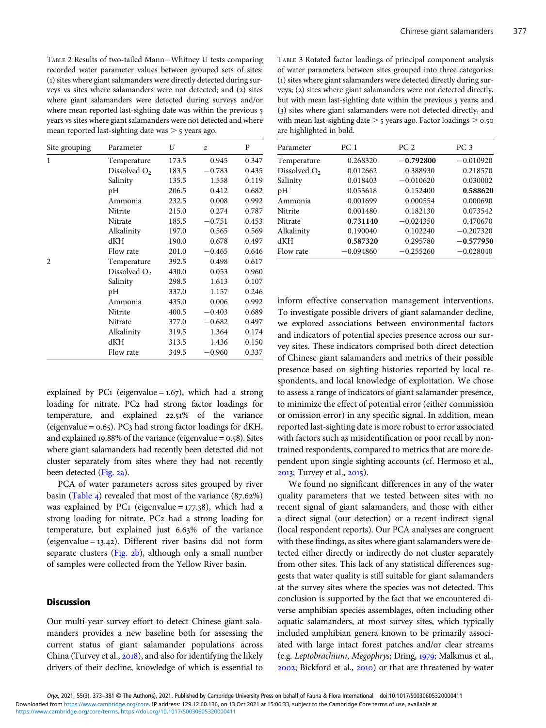TABLE 2 Results of two-tailed Mann−Whitney U tests comparing recorded water parameter values between grouped sets of sites: () sites where giant salamanders were directly detected during surveys ys sites where salamanders were not detected; and (2) sites where giant salamanders were detected during surveys and/or where mean reported last-sighting date was within the previous 5 years vs sites where giant salamanders were not detected and where mean reported last-sighting date was  $>$  5 years ago.

| Site grouping  | Parameter                | U     | $\boldsymbol{z}$ | P     |
|----------------|--------------------------|-------|------------------|-------|
| $\mathbf{1}$   | Temperature              | 173.5 | 0.945            | 0.347 |
|                | Dissolved O <sub>2</sub> | 183.5 | $-0.783$         | 0.435 |
|                | Salinity                 | 135.5 | 1.558            | 0.119 |
|                | pH                       | 206.5 | 0.412            | 0.682 |
|                | Ammonia                  | 232.5 | 0.008            | 0.992 |
|                | Nitrite                  | 215.0 | 0.274            | 0.787 |
|                | Nitrate                  | 185.5 | $-0.751$         | 0.453 |
|                | Alkalinity               | 197.0 | 0.565            | 0.569 |
|                | dKH                      | 190.0 | 0.678            | 0.497 |
|                | Flow rate                | 201.0 | $-0.465$         | 0.646 |
| $\mathfrak{D}$ | Temperature              | 392.5 | 0.498            | 0.617 |
|                | Dissolved $O2$           | 430.0 | 0.053            | 0.960 |
|                | Salinity                 | 298.5 | 1.613            | 0.107 |
|                | pH                       | 337.0 | 1.157            | 0.246 |
|                | Ammonia                  | 435.0 | 0.006            | 0.992 |
|                | Nitrite                  | 400.5 | $-0.403$         | 0.689 |
|                | Nitrate                  | 377.0 | $-0.682$         | 0.497 |
|                | Alkalinity               | 319.5 | 1.364            | 0.174 |
|                | dKH                      | 313.5 | 1.436            | 0.150 |
|                | Flow rate                | 349.5 | $-0.960$         | 0.337 |

explained by PC1 (eigenvalue =  $1.67$ ), which had a strong loading for nitrate. PC2 had strong factor loadings for temperature, and explained 22.51% of the variance (eigenvalue =  $0.65$ ). PC3 had strong factor loadings for dKH, and explained 19.88% of the variance (eigenvalue =  $0.58$ ). Sites where giant salamanders had recently been detected did not cluster separately from sites where they had not recently been detected (Fig. 2a).

PCA of water parameters across sites grouped by river basin (Table 4) revealed that most of the variance  $(87.62\%)$ was explained by PC1 (eigenvalue =  $177.38$ ), which had a strong loading for nitrate. PC2 had a strong loading for temperature, but explained just  $6.63\%$  of the variance (eigenvalue =  $13.42$ ). Different river basins did not form separate clusters (Fig. 2b), although only a small number of samples were collected from the Yellow River basin.

#### **Discussion**

Our multi-year survey effort to detect Chinese giant salamanders provides a new baseline both for assessing the current status of giant salamander populations across China (Turvey et al., 2018), and also for identifying the likely drivers of their decline, knowledge of which is essential to

TABLE 3 Rotated factor loadings of principal component analysis of water parameters between sites grouped into three categories: () sites where giant salamanders were detected directly during surveys; (2) sites where giant salamanders were not detected directly, but with mean last-sighting date within the previous 5 years; and (3) sites where giant salamanders were not detected directly, and with mean last-sighting date  $>$  5 years ago. Factor loadings  $>$  0.50 are highlighted in bold.

| Parameter      | PC 1        | PC <sub>2</sub> | PC 3        |
|----------------|-------------|-----------------|-------------|
| Temperature    | 0.268320    | $-0.792800$     | $-0.010920$ |
| Dissolved $O2$ | 0.012662    | 0.388930        | 0.218570    |
| Salinity       | 0.018403    | $-0.010620$     | 0.030002    |
| pH             | 0.053618    | 0.152400        | 0.588620    |
| Ammonia        | 0.001699    | 0.000554        | 0.000690    |
| Nitrite        | 0.001480    | 0.182130        | 0.073542    |
| Nitrate        | 0.731140    | $-0.024350$     | 0.470670    |
| Alkalinity     | 0.190040    | 0.102240        | $-0.207320$ |
| dKH            | 0.587320    | 0.295780        | $-0.577950$ |
| Flow rate      | $-0.094860$ | $-0.255260$     | $-0.028040$ |

inform effective conservation management interventions. To investigate possible drivers of giant salamander decline, we explored associations between environmental factors and indicators of potential species presence across our survey sites. These indicators comprised both direct detection of Chinese giant salamanders and metrics of their possible presence based on sighting histories reported by local respondents, and local knowledge of exploitation. We chose to assess a range of indicators of giant salamander presence, to minimize the effect of potential error (either commission or omission error) in any specific signal. In addition, mean reported last-sighting date is more robust to error associated with factors such as misidentification or poor recall by nontrained respondents, compared to metrics that are more dependent upon single sighting accounts (cf. Hermoso et al., 2013; Turvey et al., 2015).

We found no significant differences in any of the water quality parameters that we tested between sites with no recent signal of giant salamanders, and those with either a direct signal (our detection) or a recent indirect signal (local respondent reports). Our PCA analyses are congruent with these findings, as sites where giant salamanders were detected either directly or indirectly do not cluster separately from other sites. This lack of any statistical differences suggests that water quality is still suitable for giant salamanders at the survey sites where the species was not detected. This conclusion is supported by the fact that we encountered diverse amphibian species assemblages, often including other aquatic salamanders, at most survey sites, which typically included amphibian genera known to be primarily associated with large intact forest patches and/or clear streams (e.g. Leptobrachium, Megophrys; Dring, 1979; Malkmus et al.,  $2002$ ; Bickford et al.,  $2010$ ) or that are threatened by water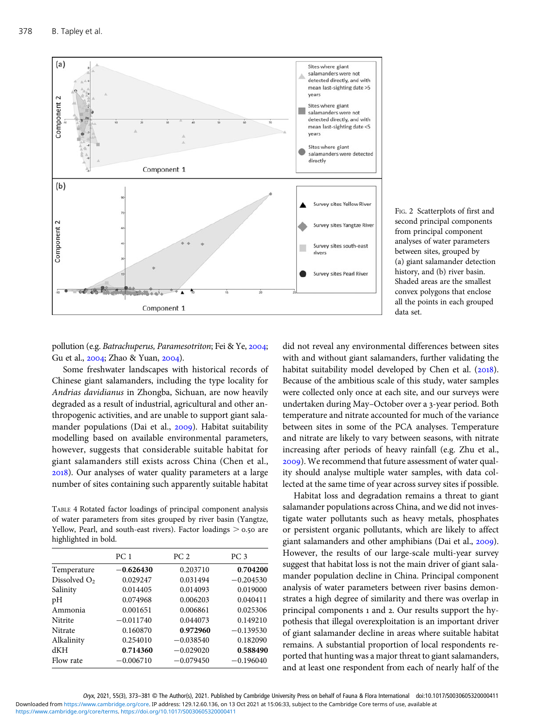

FIG. 2 Scatterplots of first and second principal components from principal component analyses of water parameters between sites, grouped by (a) giant salamander detection history, and (b) river basin. Shaded areas are the smallest convex polygons that enclose all the points in each grouped data set.

pollution (e.g. Batrachuperus, Paramesotriton; Fei & Ye, 2004; Gu et al., 2004; Zhao & Yuan, 2004).

Some freshwater landscapes with historical records of Chinese giant salamanders, including the type locality for Andrias davidianus in Zhongba, Sichuan, are now heavily degraded as a result of industrial, agricultural and other anthropogenic activities, and are unable to support giant salamander populations (Dai et al., 2009). Habitat suitability modelling based on available environmental parameters, however, suggests that considerable suitable habitat for giant salamanders still exists across China (Chen et al., ). Our analyses of water quality parameters at a large number of sites containing such apparently suitable habitat

TABLE 4 Rotated factor loadings of principal component analysis of water parameters from sites grouped by river basin (Yangtze, Yellow, Pearl, and south-east rivers). Factor loadings  $> 0.50$  are highlighted in bold.

|                | PC <sub>1</sub> | PC <sub>2</sub> | PC <sub>3</sub> |
|----------------|-----------------|-----------------|-----------------|
| Temperature    | $-0.626430$     | 0.203710        | 0.704200        |
| Dissolved $O2$ | 0.029247        | 0.031494        | $-0.204530$     |
| Salinity       | 0.014405        | 0.014093        | 0.019000        |
| pH             | 0.074968        | 0.006203        | 0.040411        |
| Ammonia        | 0.001651        | 0.006861        | 0.025306        |
| Nitrite        | $-0.011740$     | 0.044073        | 0.149210        |
| Nitrate        | 0.160870        | 0.972960        | $-0.139530$     |
| Alkalinity     | 0.254010        | $-0.038540$     | 0.182090        |
| dKH            | 0.714360        | $-0.029020$     | 0.588490        |
| Flow rate      | $-0.006710$     | $-0.079450$     | $-0.196040$     |

did not reveal any environmental differences between sites with and without giant salamanders, further validating the habitat suitability model developed by Chen et al.  $(2018)$ . Because of the ambitious scale of this study, water samples were collected only once at each site, and our surveys were undertaken during May–October over a 3-year period. Both temperature and nitrate accounted for much of the variance between sites in some of the PCA analyses. Temperature and nitrate are likely to vary between seasons, with nitrate increasing after periods of heavy rainfall (e.g. Zhu et al., ). We recommend that future assessment of water quality should analyse multiple water samples, with data collected at the same time of year across survey sites if possible.

Habitat loss and degradation remains a threat to giant salamander populations across China, and we did not investigate water pollutants such as heavy metals, phosphates or persistent organic pollutants, which are likely to affect giant salamanders and other amphibians (Dai et al., 2009). However, the results of our large-scale multi-year survey suggest that habitat loss is not the main driver of giant salamander population decline in China. Principal component analysis of water parameters between river basins demonstrates a high degree of similarity and there was overlap in principal components 1 and 2. Our results support the hypothesis that illegal overexploitation is an important driver of giant salamander decline in areas where suitable habitat remains. A substantial proportion of local respondents reported that hunting was a major threat to giant salamanders, and at least one respondent from each of nearly half of the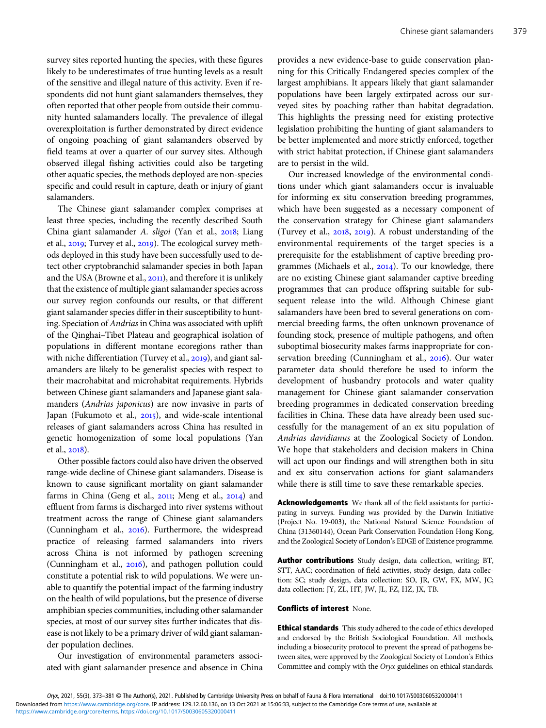survey sites reported hunting the species, with these figures likely to be underestimates of true hunting levels as a result of the sensitive and illegal nature of this activity. Even if respondents did not hunt giant salamanders themselves, they often reported that other people from outside their community hunted salamanders locally. The prevalence of illegal overexploitation is further demonstrated by direct evidence of ongoing poaching of giant salamanders observed by field teams at over a quarter of our survey sites. Although observed illegal fishing activities could also be targeting other aquatic species, the methods deployed are non-species specific and could result in capture, death or injury of giant salamanders.

The Chinese giant salamander complex comprises at least three species, including the recently described South China giant salamander A. sligoi (Yan et al., 2018; Liang et al., 2019; Turvey et al., 2019). The ecological survey methods deployed in this study have been successfully used to detect other cryptobranchid salamander species in both Japan and the USA (Browne et al., 2011), and therefore it is unlikely that the existence of multiple giant salamander species across our survey region confounds our results, or that different giant salamander species differ in their susceptibility to hunting. Speciation of Andrias in China was associated with uplift of the Qinghai–Tibet Plateau and geographical isolation of populations in different montane ecoregions rather than with niche differentiation (Turvey et al., 2019), and giant salamanders are likely to be generalist species with respect to their macrohabitat and microhabitat requirements. Hybrids between Chinese giant salamanders and Japanese giant salamanders (Andrias japonicus) are now invasive in parts of Japan (Fukumoto et al., 2015), and wide-scale intentional releases of giant salamanders across China has resulted in genetic homogenization of some local populations (Yan et al., 2018).

Other possible factors could also have driven the observed range-wide decline of Chinese giant salamanders. Disease is known to cause significant mortality on giant salamander farms in China (Geng et al., 2011; Meng et al., 2014) and effluent from farms is discharged into river systems without treatment across the range of Chinese giant salamanders (Cunningham et al., 2016). Furthermore, the widespread practice of releasing farmed salamanders into rivers across China is not informed by pathogen screening (Cunningham et al.,  $2016$ ), and pathogen pollution could constitute a potential risk to wild populations. We were unable to quantify the potential impact of the farming industry on the health of wild populations, but the presence of diverse amphibian species communities, including other salamander species, at most of our survey sites further indicates that disease is not likely to be a primary driver of wild giant salamander population declines.

Our investigation of environmental parameters associated with giant salamander presence and absence in China provides a new evidence-base to guide conservation planning for this Critically Endangered species complex of the largest amphibians. It appears likely that giant salamander populations have been largely extirpated across our surveyed sites by poaching rather than habitat degradation. This highlights the pressing need for existing protective legislation prohibiting the hunting of giant salamanders to be better implemented and more strictly enforced, together with strict habitat protection, if Chinese giant salamanders are to persist in the wild.

Our increased knowledge of the environmental conditions under which giant salamanders occur is invaluable for informing ex situ conservation breeding programmes, which have been suggested as a necessary component of the conservation strategy for Chinese giant salamanders (Turvey et al.,  $2018$ ,  $2019$ ). A robust understanding of the environmental requirements of the target species is a prerequisite for the establishment of captive breeding programmes (Michaels et al.,  $2014$ ). To our knowledge, there are no existing Chinese giant salamander captive breeding programmes that can produce offspring suitable for subsequent release into the wild. Although Chinese giant salamanders have been bred to several generations on commercial breeding farms, the often unknown provenance of founding stock, presence of multiple pathogens, and often suboptimal biosecurity makes farms inappropriate for conservation breeding (Cunningham et al., 2016). Our water parameter data should therefore be used to inform the development of husbandry protocols and water quality management for Chinese giant salamander conservation breeding programmes in dedicated conservation breeding facilities in China. These data have already been used successfully for the management of an ex situ population of Andrias davidianus at the Zoological Society of London. We hope that stakeholders and decision makers in China will act upon our findings and will strengthen both in situ and ex situ conservation actions for giant salamanders while there is still time to save these remarkable species.

Acknowledgements We thank all of the field assistants for participating in surveys. Funding was provided by the Darwin Initiative (Project No. 19-003), the National Natural Science Foundation of China (31360144), Ocean Park Conservation Foundation Hong Kong, and the Zoological Society of London's EDGE of Existence programme.

Author contributions Study design, data collection, writing; BT, STT, AAC; coordination of field activities, study design, data collection: SC; study design, data collection: SO, JR, GW, FX, MW, JC; data collection: JY, ZL, HT, JW, JL, FZ, HZ, JX, TB.

#### Conflicts of interest None.

Ethical standards This study adhered to the code of ethics developed and endorsed by the British Sociological Foundation. All methods, including a biosecurity protocol to prevent the spread of pathogens between sites, were approved by the Zoological Society of London's Ethics Committee and comply with the Oryx guidelines on ethical standards.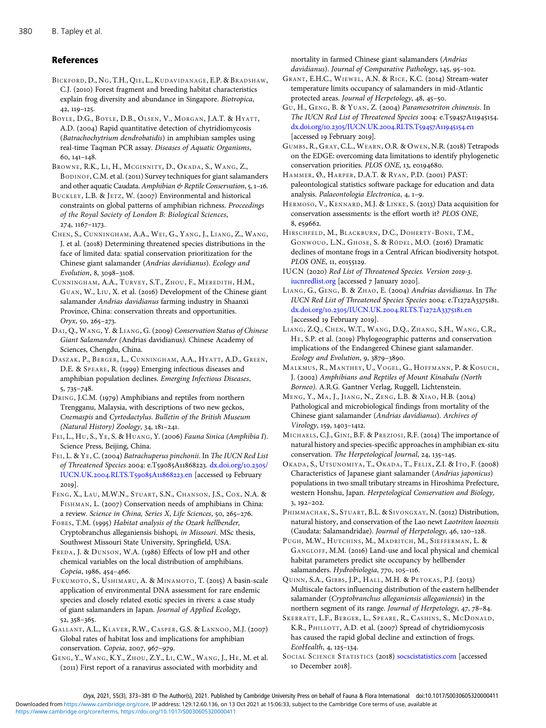#### References

BICKFORD, D., NG, T.H., QIE, L., KUDAVIDANAGE, E.P. & BRADSHAW, C.J. (2010) Forest fragment and breeding habitat characteristics explain frog diversity and abundance in Singapore. Biotropica,  $42, 119 - 125.$ 

BOYLE, D.G., BOYLE, D.B., OLSEN, V., MORGAN, J.A.T. & HYATT, A.D. (2004) Rapid quantitative detection of chytridiomycosis (Batrachochytrium dendrobatidis) in amphibian samples using real-time Taqman PCR assay. Diseases of Aquatic Organisms,  $60, 141 - 148.$ 

BROWNE, R.K., LI, H., MCGINNITY, D., OKADA, S., WANG, Z., BODINOF, C.M. et al. (2011) Survey techniques for giant salamanders and other aquatic Caudata. Amphibian  $\mathfrak{G}$  Reptile Conservation, 5, 1-16.

BUCKLEY, L.B. & JETZ, W. (2007) Environmental and historical constraints on global patterns of amphibian richness. Proceedings of the Royal Society of London B: Biological Sciences, 274, 1167-1173.

CHEN, S., CUNNINGHAM, A.A., WEI, G., YANG, J., LIANG, Z., WANG, J. et al. (2018) Determining threatened species distributions in the face of limited data: spatial conservation prioritization for the Chinese giant salamander (Andrias davidianus). Ecology and Evolution, 8, 3098-3108.

CUNNINGHAM, A.A., TURVEY, S.T., ZHOU, F., MEREDITH, H.M., GUAN, W., LIU, X. et al. (2016) Development of the Chinese giant salamander Andrias davidianus farming industry in Shaanxi Province, China: conservation threats and opportunities.  $Oryx, 50, 265 - 273.$ 

DAI, Q., WANG, Y. & LIANG, G. (2009) Conservation Status of Chinese Giant Salamander (Andrias davidianus). Chinese Academy of Sciences, Chengdu, China.

DASZAK, P., BERGER, L., CUNNINGHAM, A.A., HYATT, A.D., GREEN, D.E. & SPEARE, R. (1999) Emerging infectious diseases and amphibian population declines. Emerging Infectious Diseases,  $5,735-748.$ 

DRING, J.C.M. (1979) Amphibians and reptiles from northern Trengganu, Malaysia, with descriptions of two new geckos, Cnemaspis and Cyrtodactylus. Bulletin of the British Museum (Natural History) Zoology,  $34, 181-241$ .

FEI, L., HU, S., YE, S. & HUANG, Y. (2006) Fauna Sinica (Amphibia I). Science Press, Beijing, China.

FEI, L. & YE, C. (2004) Batrachuperus pinchonii. In The IUCN Red List of Threatened Species 2004: e.T59085A11868223. [dx.doi.org/](https://dx.doi.org/10.2305/IUCN.UK.2004.RLTS.T59085A11868223.en)10.2305/ [IUCN.UK.](https://dx.doi.org/10.2305/IUCN.UK.2004.RLTS.T59085A11868223.en)2004.RLTS.T59085A11868223.en [accessed 19 February  $2019$ 

FENG, X., LAU, M.W.N., STUART, S.N., CHANSON, J.S., COX, N.A. & FISHMAN, L. (2007) Conservation needs of amphibians in China: a review. Science in China, Series X, Life Sciences, 50, 265-276.

FOBES, T.M. (1995) Habitat analysis of the Ozark hellbender, Cryptobranchus alleganiensis bishopi, in Missouri. MSc thesis, Southwest Missouri State University, Springfield, USA.

FREDA, J. & DUNSON, W.A. (1986) Effects of low pH and other chemical variables on the local distribution of amphibians. Copeia, 1986, 454-466.

FUKUMOTO, S., USHIMARU, A. & MINAMOTO, T. (2015) A basin-scale application of environmental DNA assessment for rare endemic species and closely related exotic species in rivers: a case study of giant salamanders in Japan. Journal of Applied Ecology, 52, 358-365.

GALLANT, A.L., KLAVER, R.W., CASPER, G.S. & LANNOO, M.J. (2007) Global rates of habitat loss and implications for amphibian conservation. Copeia, 2007, 967-979.

GENG, Y., WANG, K.Y., ZHOU, Z.Y., LI, C.W., WANG, J., HE, M. et al. (2011) First report of a ranavirus associated with morbidity and

mortality in farmed Chinese giant salamanders (Andrias davidianus). Journal of Comparative Pathology, 145, 95-102.

GRANT, E.H.C., WIEWEL, A.N. & RICE, K.C. (2014) Stream-water temperature limits occupancy of salamanders in mid-Atlantic protected areas. Journal of Herpetology, 48, 45-50.

GU, H., GENG, B. & YUAN, Z. (2004) Paramesotriton chinensis. In The IUCN Red List of Threatened Species 2004: e.T59457A11945154. dx.doi.org/10.2305[/IUCN.UK.](http://dx.doi.org/10.2305/IUCN.UK.2004.RLTS.T59457A11945154.en)2004.RLTS.T59457A11945154.en [accessed 19 February 2019].

GUMBS, R., GRAY, C.L., WEARN, O.R. & OWEN, N.R. (2018) Tetrapods on the EDGE: overcoming data limitations to identify phylogenetic conservation priorities. PLOS ONE, 13, e0194680.

HAMMER, Ø., HARPER, D.A.T. & RYAN, P.D. (2001) PAST: paleontological statistics software package for education and data analysis. Palaeontologia Electronica, 4, 1-9.

HERMOSO, V., KENNARD, M.J. & LINKE, S. (2013) Data acquisition for conservation assessments: is the effort worth it? PLOS ONE, 8, e59662.

HIRSCHFELD, M., BLACKBURN, D.C., DOHERTY-BONE, T.M., GONWOUO, L.N., GHOSE, S. & RÖDEL, M.O. (2016) Dramatic declines of montane frogs in a Central African biodiversity hotspot. PLOS ONE, 11, e0155129.

IUCN (2020) Red List of Threatened Species. Version 2019-3. [iucnredlist.org](http://www.iucnredlist.org) [accessed 7 January 2020].

LIANG, G., GENG, B. & ZHAO, E. (2004) Andrias davidianus. In The IUCN Red List of Threatened Species Species 2004: e.T1272A3375181. dx.doi.org/10.2305[/IUCN.UK.](https://dx.doi.org/10.2305/IUCN.UK.2004.RLTS.T1272A3375181.en)2004.RLTS.T1272A3375181.en [accessed 19 February 2019].

LIANG, Z.Q., CHEN, W.T., WANG, D.Q., ZHANG, S.H., WANG, C.R., HE, S.P. et al. (2019) Phylogeographic patterns and conservation implications of the Endangered Chinese giant salamander. Ecology and Evolution, 9, 3879-3890.

MALKMUS, R., MANTHEY, U., VOGEL, G., HOFFMANN, P. & KOSUCH, J. (2002) Amphibians and Reptiles of Mount Kinabalu (North Borneo). A.R.G. Gantner Verlag, Ruggell, Lichtenstein.

MENG, Y., MA, J., JIANG, N., ZENG, L.B. & XIAO, H.B. (2014) Pathological and microbiological findings from mortality of the Chinese giant salamander (Andrias davidianus). Archives of Virology, 159, 1403-1412.

MICHAELS, C.J., GINI, B.F. & PREZIOSI, R.F. (2014) The importance of natural history and species-specific approaches in amphibian ex-situ conservation. The Herpetological Journal, 24, 135-145.

OKADA, S., UTSUNOMIYA, T., OKADA, T., FELIX, Z.I. & ITO, F. (2008) Characteristics of Japanese giant salamander (Andrias japonicus) populations in two small tributary streams in Hiroshima Prefecture, western Honshu, Japan. Herpetological Conservation and Biology,  $3, 192 - 202.$ 

PHIMMACHAK, S., STUART, B.L. & SIVONGXAY, N. (2012) Distribution, natural history, and conservation of the Lao newt Laotriton laoensis (Caudata: Salamandridae). Journal of Herpetology, 46, 120-128.

PUGH, M.W., HUTCHINS, M., MADRITCH, M., SIEFFERMAN, L. & GANGLOFF, M.M. (2016) Land-use and local physical and chemical habitat parameters predict site occupancy by hellbender salamanders. Hydrobiologia, 770, 105-116.

QUINN, S.A., GIBBS, J.P., HALL, M.H. & PETOKAS, P.J. (2013) Multiscale factors influencing distribution of the eastern hellbender salamander (Cryptobranchus alleganiensis alleganiensis) in the northern segment of its range. Journal of Herpetology, 47, 78-84.

SKERRATT, L.F., BERGER, L., SPEARE, R., CASHINS, S., MCDONALD, K.R., PHILLOTT, A.D. et al. (2007) Spread of chytridiomycosis has caused the rapid global decline and extinction of frogs.  $EcoHealth, 4, 125-134.$ 

SOCIAL SCIENCE STATISTICS (2018) [socscistatistics.com](http://www.socscistatistics.com) [accessed 10 December 2018].